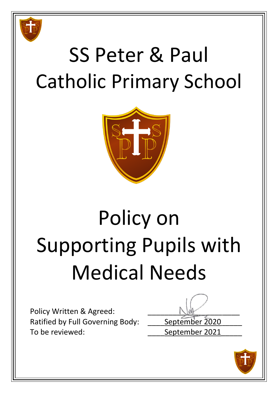

# SS Peter & Paul Catholic Primary School



# Policy on Supporting Pupils with Medical Needs

Policy Written & Agreed: Ratified by Full Governing Body: \_\_\_\_\_ September 2020 To be reviewed: To be reviewed:

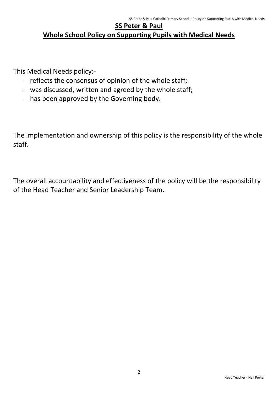# **SS Peter & Paul Whole School Policy on Supporting Pupils with Medical Needs**

This Medical Needs policy:-

- reflects the consensus of opinion of the whole staff;
- was discussed, written and agreed by the whole staff;
- has been approved by the Governing body.

The implementation and ownership of this policy is the responsibility of the whole staff.

The overall accountability and effectiveness of the policy will be the responsibility of the Head Teacher and Senior Leadership Team.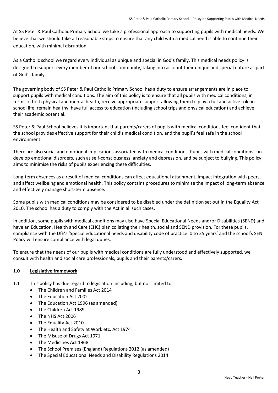At SS Peter & Paul Catholic Primary School we take a professional approach to supporting pupils with medical needs. We believe that we should take all reasonable steps to ensure that any child with a medical need is able to continue their education, with minimal disruption.

As a Catholic school we regard every individual as unique and special in God's family. This medical needs policy is designed to support every member of our school community, taking into account their unique and special nature as part of God's family.

The governing body of SS Peter & Paul Catholic Primary School has a duty to ensure arrangements are in place to support pupils with medical conditions. The aim of this policy is to ensure that all pupils with medical conditions, in terms of both physical and mental health, receive appropriate support allowing them to play a full and active role in school life, remain healthy, have full access to education (including school trips and physical education) and achieve their academic potential.

SS Peter & Paul School believes it is important that parents/carers of pupils with medical conditions feel confident that the school provides effective support for their child's medical condition, and the pupil's feel safe in the school environment.

There are also social and emotional implications associated with medical conditions. Pupils with medical conditions can develop emotional disorders, such as self-consciousness, anxiety and depression, and be subject to bullying. This policy aims to minimise the risks of pupils experiencing these difficulties.

Long-term absences as a result of medical conditions can affect educational attainment, impact integration with peers, and affect wellbeing and emotional health. This policy contains procedures to minimise the impact of long-term absence and effectively manage short-term absence.

Some pupils with medical conditions may be considered to be disabled under the definition set out in the Equality Act 2010. The school has a duty to comply with the Act in all such cases.

In addition, some pupils with medical conditions may also have Special Educational Needs and/or Disabilities (SEND) and have an Education, Health and Care (EHC) plan collating their health, social and SEND provision. For these pupils, compliance with the DfE's 'Special educational needs and disability code of practice: 0 to 25 years' and the school's SEN Policy will ensure compliance with legal duties.

To ensure that the needs of our pupils with medical conditions are fully understood and effectively supported, we consult with health and social care professionals, pupils and their parents/carers.

# **1.0 Legislative framework**

- 1.1 This policy has due regard to legislation including, but not limited to:
	- The Children and Families Act 2014
	- The Education Act 2002
	- The Education Act 1996 (as amended)
	- The Children Act 1989
	- The NHS Act 2006
	- The Equality Act 2010
	- The Health and Safety at Work etc. Act 1974
	- The Misuse of Drugs Act 1971
	- The Medicines Act 1968
	- The School Premises (England) Regulations 2012 (as amended)
	- The Special Educational Needs and Disability Regulations 2014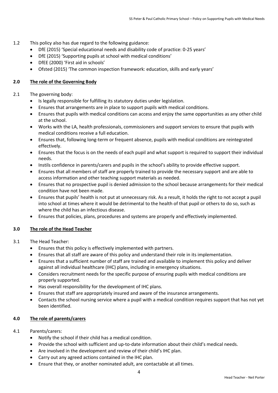- 1.2 This policy also has due regard to the following guidance:
	- DfE (2015) 'Special educational needs and disability code of practice: 0-25 years'
	- DfE (2015) 'Supporting pupils at school with medical conditions'
	- DfEE (2000) 'First aid in schools'
	- Ofsted (2015) 'The common inspection framework: education, skills and early years'

# **2.0 The role of the Governing Body**

### 2.1 The governing body:

- Is legally responsible for fulfilling its statutory duties under legislation.
- Ensures that arrangements are in place to support pupils with medical conditions.
- Ensures that pupils with medical conditions can access and enjoy the same opportunities as any other child at the school.
- Works with the LA, health professionals, commissioners and support services to ensure that pupils with medical conditions receive a full education.
- Ensures that, following long-term or frequent absence, pupils with medical conditions are reintegrated effectively.
- Ensures that the focus is on the needs of each pupil and what support is required to support their individual needs.
- Instils confidence in parents/carers and pupils in the school's ability to provide effective support.
- Ensures that all members of staff are properly trained to provide the necessary support and are able to access information and other teaching support materials as needed.
- Ensures that no prospective pupil is denied admission to the school because arrangements for their medical condition have not been made.
- Ensures that pupils' health is not put at unnecessary risk. As a result, it holds the right to not accept a pupil into school at times where it would be detrimental to the health of that pupil or others to do so, such as where the child has an infectious disease.
- Ensures that policies, plans, procedures and systems are properly and effectively implemented.

# **3.0 The role of the Head Teacher**

- 3.1 The Head Teacher:
	- Ensures that this policy is effectively implemented with partners.
	- Ensures that all staff are aware of this policy and understand their role in its implementation.
	- Ensures that a sufficient number of staff are trained and available to implement this policy and deliver against all individual healthcare (IHC) plans, including in emergency situations.
	- Considers recruitment needs for the specific purpose of ensuring pupils with medical conditions are properly supported.
	- Has overall responsibility for the development of IHC plans.
	- Ensures that staff are appropriately insured and aware of the insurance arrangements.
	- Contacts the school nursing service where a pupil with a medical condition requires support that has not yet been identified.

# **4.0 The role of parents/carers**

- 4.1 Parents/carers:
	- Notify the school if their child has a medical condition.
	- Provide the school with sufficient and up-to-date information about their child's medical needs.
	- Are involved in the development and review of their child's IHC plan.
	- Carry out any agreed actions contained in the IHC plan.
	- Ensure that they, or another nominated adult, are contactable at all times.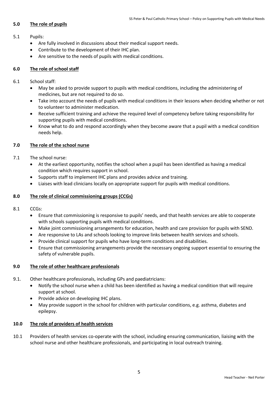# **5.0 The role of pupils**

## 5.1 Pupils:

- Are fully involved in discussions about their medical support needs.
- Contribute to the development of their IHC plan.
- Are sensitive to the needs of pupils with medical conditions.

# **6.0 The role of school staff**

- 6.1 School staff:
	- May be asked to provide support to pupils with medical conditions, including the administering of medicines, but are not required to do so.
	- Take into account the needs of pupils with medical conditions in their lessons when deciding whether or not to volunteer to administer medication.
	- Receive sufficient training and achieve the required level of competency before taking responsibility for supporting pupils with medical conditions.
	- Know what to do and respond accordingly when they become aware that a pupil with a medical condition needs help.

# **7.0 The role of the school nurse**

- 7.1 The school nurse:
	- At the earliest opportunity, notifies the school when a pupil has been identified as having a medical condition which requires support in school.
	- Supports staff to implement IHC plans and provides advice and training.
	- Liaises with lead clinicians locally on appropriate support for pupils with medical conditions.

# **8.0 The role of clinical commissioning groups (CCGs)**

- 8.1 CCGs:
	- Ensure that commissioning is responsive to pupils' needs, and that health services are able to cooperate with schools supporting pupils with medical conditions.
	- Make joint commissioning arrangements for education, health and care provision for pupils with SEND.
	- Are responsive to LAs and schools looking to improve links between health services and schools.
	- Provide clinical support for pupils who have long-term conditions and disabilities.
	- Ensure that commissioning arrangements provide the necessary ongoing support essential to ensuring the safety of vulnerable pupils.

# **9.0 The role of other healthcare professionals**

- 9.1. Other healthcare professionals, including GPs and paediatricians:
	- Notify the school nurse when a child has been identified as having a medical condition that will require support at school.
	- Provide advice on developing IHC plans.
	- May provide support in the school for children with particular conditions, e.g. asthma, diabetes and epilepsy.

# **10.0 The role of providers of health services**

10.1 Providers of health services co-operate with the school, including ensuring communication, liaising with the school nurse and other healthcare professionals, and participating in local outreach training.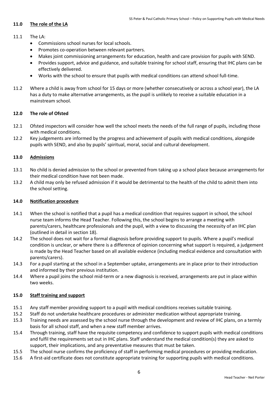# **11.0 The role of the LA**

- 11.1 The LA:
	- Commissions school nurses for local schools.
	- Promotes co-operation between relevant partners.
	- Makes joint commissioning arrangements for education, health and care provision for pupils with SEND.
	- Provides support, advice and guidance, and suitable training for school staff, ensuring that IHC plans can be effectively delivered.
	- Works with the school to ensure that pupils with medical conditions can attend school full-time.
- 11.2 Where a child is away from school for 15 days or more (whether consecutively or across a school year), the LA has a duty to make alternative arrangements, as the pupil is unlikely to receive a suitable education in a mainstream school.

### **12.0 The role of Ofsted**

- 12.1 Ofsted inspectors will consider how well the school meets the needs of the full range of pupils, including those with medical conditions.
- 12.2 Key judgements are informed by the progress and achievement of pupils with medical conditions, alongside pupils with SEND, and also by pupils' spiritual, moral, social and cultural development.

### **13.0 Admissions**

- 13.1 No child is denied admission to the school or prevented from taking up a school place because arrangements for their medical condition have not been made.
- 13.2 A child may only be refused admission if it would be detrimental to the health of the child to admit them into the school setting.

#### **14.0 Notification procedure**

- 14.1 When the school is notified that a pupil has a medical condition that requires support in school, the school nurse team informs the Head Teacher. Following this, the school begins to arrange a meeting with parents/carers, healthcare professionals and the pupil, with a view to discussing the necessity of an IHC plan (outlined in detail in section 18).
- 14.2 The school does not wait for a formal diagnosis before providing support to pupils. Where a pupil's medical condition is unclear, or where there is a difference of opinion concerning what support is required, a judgement is made by the Head Teacher based on all available evidence (including medical evidence and consultation with parents/carers).
- 14.3 For a pupil starting at the school in a September uptake, arrangements are in place prior to their introduction and informed by their previous institution.
- 14.4 Where a pupil joins the school mid-term or a new diagnosis is received, arrangements are put in place within two weeks.

#### **15.0 Staff training and support**

- 15.1 Any staff member providing support to a pupil with medical conditions receives suitable training.
- 15.2 Staff do not undertake healthcare procedures or administer medication without appropriate training.
- 15.3 Training needs are assessed by the school nurse through the development and review of IHC plans, on a termly basis for all school staff, and when a new staff member arrives.
- 15.4 Through training, staff have the requisite competency and confidence to support pupils with medical conditions and fulfil the requirements set out in IHC plans. Staff understand the medical condition(s) they are asked to support, their implications, and any preventative measures that must be taken.
- 15.5 The school nurse confirms the proficiency of staff in performing medical procedures or providing medication.
- 15.6 A first-aid certificate does not constitute appropriate training for supporting pupils with medical conditions.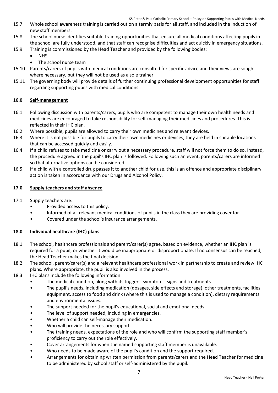SS Peter & Paul Catholic Primary School – Policy on Supporting Pupils with Medical Needs

- 15.7 Whole school awareness training is carried out on a termly basis for all staff, and included in the induction of new staff members.
- 15.8 The school nurse identifies suitable training opportunities that ensure all medical conditions affecting pupils in the school are fully understood, and that staff can recognise difficulties and act quickly in emergency situations.
- 15.9 Training is commissioned by the Head Teacher and provided by the following bodies:
	- NHS
	- The school nurse team
- 15.10 Parents/carers of pupils with medical conditions are consulted for specific advice and their views are sought where necessary, but they will not be used as a sole trainer.
- 15.11 The governing body will provide details of further continuing professional development opportunities for staff regarding supporting pupils with medical conditions.

# **16.0 Self-management**

- 16.1 Following discussion with parents/carers, pupils who are competent to manage their own health needs and medicines are encouraged to take responsibility for self-managing their medicines and procedures. This is reflected in their IHC plan.
- 16.2 Where possible, pupils are allowed to carry their own medicines and relevant devices.
- 16.3 Where it is not possible for pupils to carry their own medicines or devices, they are held in suitable locations that can be accessed quickly and easily.
- 16.4 If a child refuses to take medicine or carry out a necessary procedure, staff will not force them to do so. Instead, the procedure agreed in the pupil's IHC plan is followed. Following such an event, parents/carers are informed so that alternative options can be considered.
- 16.5 If a child with a controlled drug passes it to another child for use, this is an offence and appropriate disciplinary action is taken in accordance with our Drugs and Alcohol Policy.

### **17.0 Supply teachers and staff absence**

- 17.1 Supply teachers are:
	- Provided access to this policy.
	- Informed of all relevant medical conditions of pupils in the class they are providing cover for.
	- Covered under the school's insurance arrangements.

# **18.0 Individual healthcare (IHC) plans**

- 18.1 The school, healthcare professionals and parent/carer(s) agree, based on evidence, whether an IHC plan is required for a pupil, or whether it would be inappropriate or disproportionate. If no consensus can be reached, the Head Teacher makes the final decision.
- 18.2 The school, parent/carer(s) and a relevant healthcare professional work in partnership to create and review IHC plans. Where appropriate, the pupil is also involved in the process.
- 18.3 IHC plans include the following information:
	- The medical condition, along with its triggers, symptoms, signs and treatments.
	- The pupil's needs, including medication (dosages, side effects and storage), other treatments, facilities, equipment, access to food and drink (where this is used to manage a condition), dietary requirements and environmental issues.
	- The support needed for the pupil's educational, social and emotional needs.
	- The level of support needed, including in emergencies.
	- Whether a child can self-manage their medication.
	- Who will provide the necessary support.
	- The training needs, expectations of the role and who will confirm the supporting staff member's proficiency to carry out the role effectively.
	- Cover arrangements for when the named supporting staff member is unavailable.
	- Who needs to be made aware of the pupil's condition and the support required.
	- Arrangements for obtaining written permission from parents/carers and the Head Teacher for medicine to be administered by school staff or self-administered by the pupil.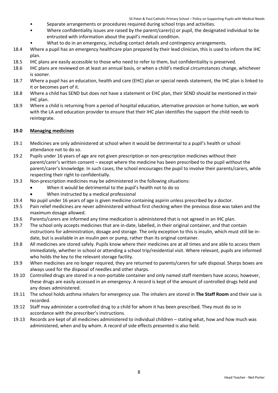- Separate arrangements or procedures required during school trips and activities.
- Where confidentiality issues are raised by the parent/carer(s) or pupil, the designated individual to be entrusted with information about the pupil's medical condition.
	- What to do in an emergency, including contact details and contingency arrangements.
- 18.4 Where a pupil has an emergency healthcare plan prepared by their lead clinician, this is used to inform the IHC plan.
- 18.5 IHC plans are easily accessible to those who need to refer to them, but confidentiality is preserved.
- 18.6 IHC plans are reviewed on at least an annual basis, or when a child's medical circumstances change, whichever is sooner.
- 18.7 Where a pupil has an education, health and care (EHC) plan or special needs statement, the IHC plan is linked to it or becomes part of it.
- 18.8 Where a child has SEND but does not have a statement or EHC plan, their SEND should be mentioned in their IHC plan.
- 18.9 Where a child is returning from a period of hospital education, alternative provision or home tuition, we work with the LA and education provider to ensure that their IHC plan identifies the support the child needs to reintegrate.

#### **19.0 Managing medicines**

- 19.1 Medicines are only administered at school when it would be detrimental to a pupil's health or school attendance not to do so.
- 19.2 Pupils under 16 years of age are not given prescription or non-prescription medicines without their parent/carer's written consent – except where the medicine has been prescribed to the pupil without the parent/carer's knowledge. In such cases, the school encourages the pupil to involve their parents/carers, while respecting their right to confidentially.
- 19.3 Non-prescription medicines may be administered in the following situations:
	- When it would be detrimental to the pupil's health not to do so
	- When instructed by a medical professional
- 19.4 No pupil under 16 years of age is given medicine containing aspirin unless prescribed by a doctor.
- 19.5 Pain relief medicines are never administered without first checking when the previous dose was taken and the maximum dosage allowed.
- 19.6 Parents/carers are informed any time medication is administered that is not agreed in an IHC plan.
- 19.7 The school only accepts medicines that are in-date, labelled, in their original container, and that contain instructions for administration, dosage and storage. The only exception to this is insulin, which must still be indate, but is available in an insulin pen or pump, rather than its original container.
- 19.8 All medicines are stored safely. Pupils know where their medicines are at all times and are able to access them immediately, whether in school or attending a school trip/residential visit. Where relevant, pupils are informed who holds the key to the relevant storage facility.
- 19.9 When medicines are no longer required, they are returned to parents/carers for safe disposal. Sharps boxes are always used for the disposal of needles and other sharps.
- 19.10 Controlled drugs are stored in a non-portable container and only named staff members have access; however, these drugs are easily accessed in an emergency. A record is kept of the amount of controlled drugs held and any doses administered.
- 19.11 The school holds asthma inhalers for emergency use. The inhalers are stored in **The Staff Room** and their use is recorded.
- 19.12 Staff may administer a controlled drug to a child for whom it has been prescribed. They must do so in accordance with the prescriber's instructions.
- 19.13 Records are kept of all medicines administered to individual children stating what, how and how much was administered, when and by whom. A record of side effects presented is also held.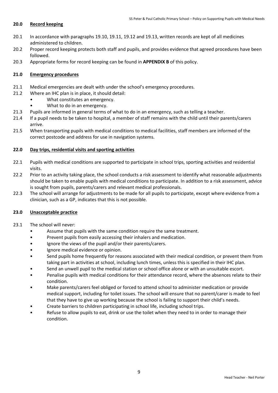#### **20.0 Record keeping**

- 20.1 In accordance with paragraphs 19.10, 19.11, 19.12 and 19.13, written records are kept of all medicines administered to children.
- 20.2 Proper record keeping protects both staff and pupils, and provides evidence that agreed procedures have been followed.
- 20.3 Appropriate forms for record keeping can be found in **APPENDIX B** of this policy.

# **21.0 Emergency procedures**

- 21.1 Medical emergencies are dealt with under the school's emergency procedures.
- 21.2 Where an IHC plan is in place, it should detail:
	- What constitutes an emergency.
	- What to do in an emergency.
- 21.3 Pupils are informed in general terms of what to do in an emergency, such as telling a teacher.
- 21.4 If a pupil needs to be taken to hospital, a member of staff remains with the child until their parents/carers arrive.
- 21.5 When transporting pupils with medical conditions to medical facilities, staff members are informed of the correct postcode and address for use in navigation systems.

### **22.0 Day trips, residential visits and sporting activities**

- 22.1 Pupils with medical conditions are supported to participate in school trips, sporting activities and residential visits.
- 22.2 Prior to an activity taking place, the school conducts a risk assessment to identify what reasonable adjustments should be taken to enable pupils with medical conditions to participate. In addition to a risk assessment, advice is sought from pupils, parents/carers and relevant medical professionals.
- 22.3 The school will arrange for adjustments to be made for all pupils to participate, except where evidence from a clinician, such as a GP, indicates that this is not possible.

#### **23.0 Unacceptable practice**

- 23.1 The school will never:
	- Assume that pupils with the same condition require the same treatment.
	- Prevent pupils from easily accessing their inhalers and medication.
	- Ignore the views of the pupil and/or their parents/carers.
	- Ignore medical evidence or opinion.
	- Send pupils home frequently for reasons associated with their medical condition, or prevent them from taking part in activities at school, including lunch times, unless this is specified in their IHC plan.
	- Send an unwell pupil to the medical station or school office alone or with an unsuitable escort.
	- Penalise pupils with medical conditions for their attendance record, where the absences relate to their condition.
	- Make parents/carers feel obliged or forced to attend school to administer medication or provide medical support, including for toilet issues. The school will ensure that no parent/carer is made to feel that they have to give up working because the school is failing to support their child's needs.
	- Create barriers to children participating in school life, including school trips.
	- Refuse to allow pupils to eat, drink or use the toilet when they need to in order to manage their condition.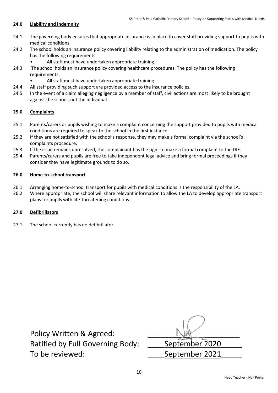#### **24.0 Liability and indemnity**

- 24.1 The governing body ensures that appropriate insurance is in place to cover staff providing support to pupils with medical conditions.
- 24.2 The school holds an insurance policy covering liability relating to the administration of medication. The policy has the following requirements:
	- All staff must have undertaken appropriate training.
- 24.3 The school holds an insurance policy covering healthcare procedures. The policy has the following requirements:
	- All staff must have undertaken appropriate training.
- 24.4 All staff providing such support are provided access to the insurance policies.
- 24.5 In the event of a claim alleging negligence by a member of staff, civil actions are most likely to be brought against the school, not the individual.

#### **25.0 Complaints**

- 25.1 Parents/carers or pupils wishing to make a complaint concerning the support provided to pupils with medical conditions are required to speak to the school in the first instance.
- 25.2 If they are not satisfied with the school's response, they may make a formal complaint via the school's complaints procedure.
- 25.3 If the issue remains unresolved, the complainant has the right to make a formal complaint to the DfE.
- 25.4 Parents/carers and pupils are free to take independent legal advice and bring formal proceedings if they consider they have legitimate grounds to do so.

#### **26.0 Home-to-school transport**

- 26.1 Arranging home-to-school transport for pupils with medical conditions is the responsibility of the LA.
- 26.2 Where appropriate, the school will share relevant information to allow the LA to develop appropriate transport plans for pupils with life-threatening conditions.

# **27.0 Defibrillators**

27.1 The school currently has no defibrillator.

| Policy Written & Agreed:                |                |
|-----------------------------------------|----------------|
| <b>Ratified by Full Governing Body:</b> | September 2020 |
| To be reviewed:                         | September 2021 |
|                                         |                |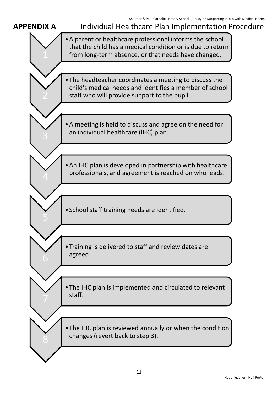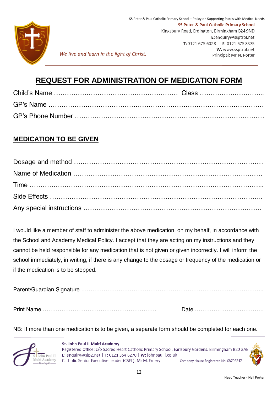

We live and learn in the light of Christ.

# **REQUEST FOR ADMINISTRATION OF MEDICATION FORM**

# **MEDICATION TO BE GIVEN**

I would like a member of staff to administer the above medication, on my behalf, in accordance with the School and Academy Medical Policy. I accept that they are acting on my instructions and they cannot be held responsible for any medication that is not given or given incorrectly. I will inform the school immediately, in writing, if there is any change to the dosage or frequency of the medication or if the medication is to be stopped.

Parent/Guardian Signature ……………………………………………………………………………………..

Print Name ……………………………………………………. Date ……………………………….

NB: If more than one medication is to be given, a separate form should be completed for each one.



St. John Paul II Multi Academy Registered Office: c/o Sacred Heart Catholic Primary School, Earlsbury Gardens, Birmingham B20 3AE E: enquiry@sjp2.net | T: 0121 354 6270 | W: johnpaulii.co.uk Catholic Senior Executive Leader (CSEL): Mr M. Emery Company House Registered No. 08706247